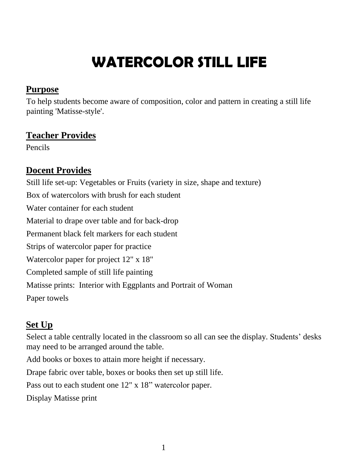# **WATERCOLOR STILL LIFE**

#### **Purpose**

To help students become aware of composition, color and pattern in creating a still life painting 'Matisse-style'.

## **Teacher Provides**

Pencils

## **Docent Provides**

Still life set-up: Vegetables or Fruits (variety in size, shape and texture) Box of watercolors with brush for each student Water container for each student Material to drape over table and for back-drop Permanent black felt markers for each student Strips of watercolor paper for practice Watercolor paper for project 12" x 18" Completed sample of still life painting Matisse prints: Interior with Eggplants and Portrait of Woman Paper towels

# **Set Up**

Select a table centrally located in the classroom so all can see the display. Students' desks may need to be arranged around the table.

Add books or boxes to attain more height if necessary.

Drape fabric over table, boxes or books then set up still life.

Pass out to each student one 12" x 18" watercolor paper.

Display Matisse print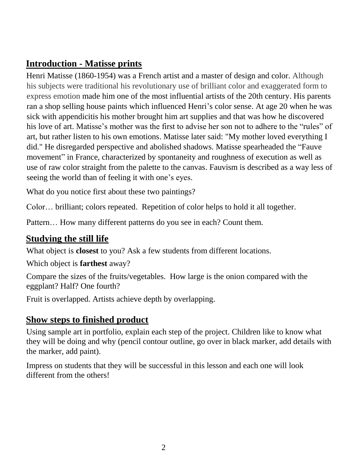### **Introduction - Matisse prints**

Henri Matisse (1860-1954) was a French artist and a master of design and color. Although his subjects were traditional his revolutionary use of brilliant color and exaggerated form to express emotion made him one of the most influential artists of the 20th century. His parents ran a shop selling house paints which influenced Henri's color sense. At age 20 when he was sick with appendicitis his mother brought him art supplies and that was how he discovered his love of art. Matisse's mother was the first to advise her son not to adhere to the "rules" of art, but rather listen to his own emotions. Matisse later said: "My mother loved everything I did." He disregarded perspective and abolished shadows. Matisse spearheaded the "Fauve movement" in France, characterized by spontaneity and roughness of execution as well as use of raw color straight from the palette to the canvas. Fauvism is described as a way less of seeing the world than of feeling it with one's eyes.

What do you notice first about these two paintings?

Color… brilliant; colors repeated. Repetition of color helps to hold it all together.

Pattern… How many different patterns do you see in each? Count them.

#### **Studying the still life**

What object is **closest** to you? Ask a few students from different locations.

Which object is **farthest** away?

Compare the sizes of the fruits/vegetables. How large is the onion compared with the eggplant? Half? One fourth?

Fruit is overlapped. Artists achieve depth by overlapping.

#### **Show steps to finished product**

Using sample art in portfolio, explain each step of the project. Children like to know what they will be doing and why (pencil contour outline, go over in black marker, add details with the marker, add paint).

Impress on students that they will be successful in this lesson and each one will look different from the others!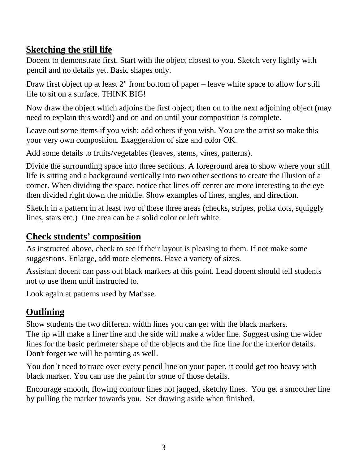## **Sketching the still life**

Docent to demonstrate first. Start with the object closest to you. Sketch very lightly with pencil and no details yet. Basic shapes only.

Draw first object up at least 2" from bottom of paper – leave white space to allow for still life to sit on a surface. THINK BIG!

Now draw the object which adjoins the first object; then on to the next adjoining object (may need to explain this word!) and on and on until your composition is complete.

Leave out some items if you wish; add others if you wish. You are the artist so make this your very own composition. Exaggeration of size and color OK.

Add some details to fruits/vegetables (leaves, stems, vines, patterns).

Divide the surrounding space into three sections. A foreground area to show where your still life is sitting and a background vertically into two other sections to create the illusion of a corner. When dividing the space, notice that lines off center are more interesting to the eye then divided right down the middle. Show examples of lines, angles, and direction.

Sketch in a pattern in at least two of these three areas (checks, stripes, polka dots, squiggly lines, stars etc.) One area can be a solid color or left white.

# **Check students' composition**

As instructed above, check to see if their layout is pleasing to them. If not make some suggestions. Enlarge, add more elements. Have a variety of sizes.

Assistant docent can pass out black markers at this point. Lead docent should tell students not to use them until instructed to.

Look again at patterns used by Matisse.

# **Outlining**

Show students the two different width lines you can get with the black markers. The tip will make a finer line and the side will make a wider line. Suggest using the wider lines for the basic perimeter shape of the objects and the fine line for the interior details. Don't forget we will be painting as well.

You don't need to trace over every pencil line on your paper, it could get too heavy with black marker. You can use the paint for some of those details.

Encourage smooth, flowing contour lines not jagged, sketchy lines. You get a smoother line by pulling the marker towards you. Set drawing aside when finished.